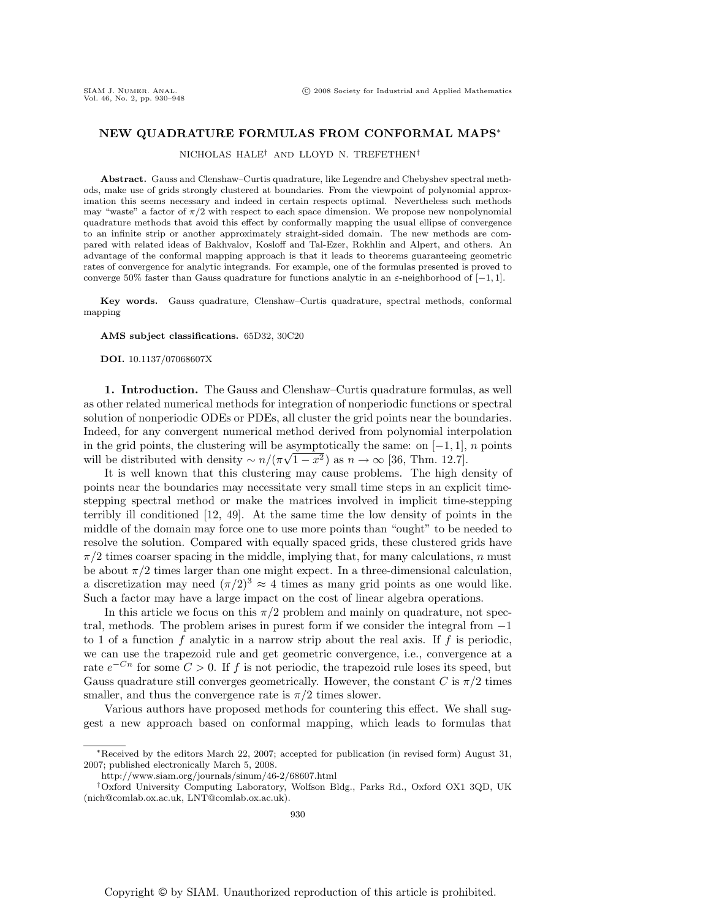## **NEW QUADRATURE FORMULAS FROM CONFORMAL MAPS**∗

NICHOLAS HALE† AND LLOYD N. TREFETHEN†

**Abstract.** Gauss and Clenshaw–Curtis quadrature, like Legendre and Chebyshev spectral methods, make use of grids strongly clustered at boundaries. From the viewpoint of polynomial approximation this seems necessary and indeed in certain respects optimal. Nevertheless such methods may "waste" a factor of  $\pi/2$  with respect to each space dimension. We propose new nonpolynomial quadrature methods that avoid this effect by conformally mapping the usual ellipse of convergence to an infinite strip or another approximately straight-sided domain. The new methods are compared with related ideas of Bakhvalov, Kosloff and Tal-Ezer, Rokhlin and Alpert, and others. An advantage of the conformal mapping approach is that it leads to theorems guaranteeing geometric rates of convergence for analytic integrands. For example, one of the formulas presented is proved to converge 50% faster than Gauss quadrature for functions analytic in an  $\varepsilon$ -neighborhood of [−1, 1].

**Key words.** Gauss quadrature, Clenshaw–Curtis quadrature, spectral methods, conformal mapping

## **AMS subject classifications.** 65D32, 30C20

**DOI.** 10.1137/07068607X

**1. Introduction.** The Gauss and Clenshaw–Curtis quadrature formulas, as well as other related numerical methods for integration of nonperiodic functions or spectral solution of nonperiodic ODEs or PDEs, all cluster the grid points near the boundaries. Indeed, for any convergent numerical method derived from polynomial interpolation in the grid points, the clustering will be asymptotically the same: on  $[-1, 1]$ , n points in the grid points, the clustering will be asymptotically the same: on  $[-1, 1]$ , will be distributed with density  $\sim n/(\pi\sqrt{1-x^2})$  as  $n \to \infty$  [36, Thm. 12.7].

It is well known that this clustering may cause problems. The high density of points near the boundaries may necessitate very small time steps in an explicit timestepping spectral method or make the matrices involved in implicit time-stepping terribly ill conditioned [12, 49]. At the same time the low density of points in the middle of the domain may force one to use more points than "ought" to be needed to resolve the solution. Compared with equally spaced grids, these clustered grids have  $\pi/2$  times coarser spacing in the middle, implying that, for many calculations, n must be about  $\pi/2$  times larger than one might expect. In a three-dimensional calculation, a discretization may need  $(\pi/2)^3 \approx 4$  times as many grid points as one would like. Such a factor may have a large impact on the cost of linear algebra operations.

In this article we focus on this  $\pi/2$  problem and mainly on quadrature, not spectral, methods. The problem arises in purest form if we consider the integral from −1 to 1 of a function f analytic in a narrow strip about the real axis. If f is periodic, we can use the trapezoid rule and get geometric convergence, i.e., convergence at a rate  $e^{-Cn}$  for some  $C > 0$ . If f is not periodic, the trapezoid rule loses its speed, but Gauss quadrature still converges geometrically. However, the constant C is  $\pi/2$  times smaller, and thus the convergence rate is  $\pi/2$  times slower.

Various authors have proposed methods for countering this effect. We shall suggest a new approach based on conformal mapping, which leads to formulas that

<sup>∗</sup>Received by the editors March 22, 2007; accepted for publication (in revised form) August 31, 2007; published electronically March 5, 2008.

http://www.siam.org/journals/sinum/46-2/68607.html

<sup>†</sup>Oxford University Computing Laboratory, Wolfson Bldg., Parks Rd., Oxford OX1 3QD, UK (nich@comlab.ox.ac.uk, LNT@comlab.ox.ac.uk).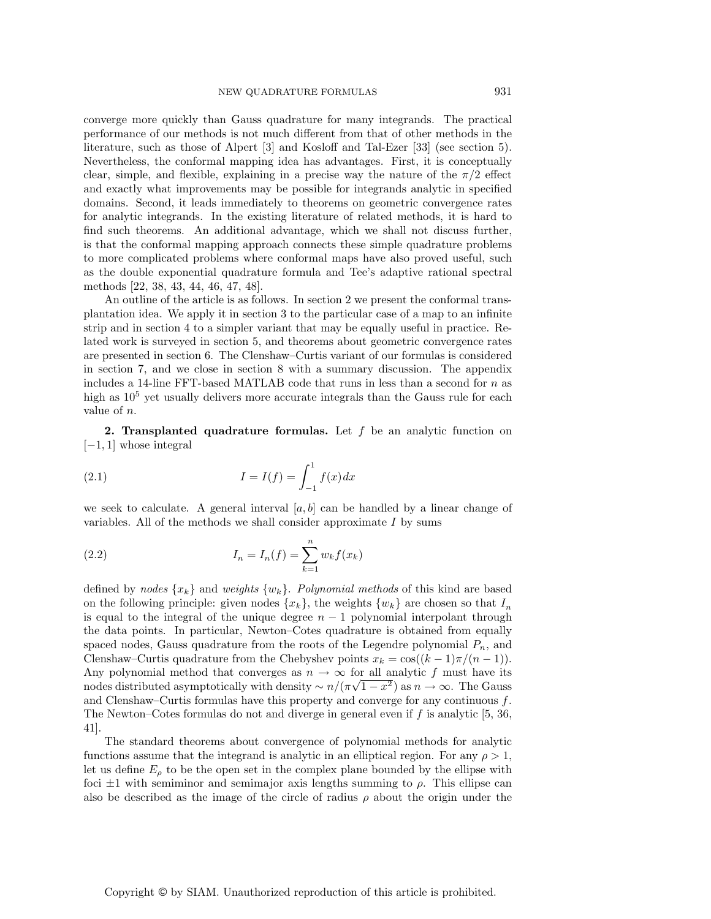converge more quickly than Gauss quadrature for many integrands. The practical performance of our methods is not much different from that of other methods in the literature, such as those of Alpert [3] and Kosloff and Tal-Ezer [33] (see section 5). Nevertheless, the conformal mapping idea has advantages. First, it is conceptually clear, simple, and flexible, explaining in a precise way the nature of the  $\pi/2$  effect and exactly what improvements may be possible for integrands analytic in specified domains. Second, it leads immediately to theorems on geometric convergence rates for analytic integrands. In the existing literature of related methods, it is hard to find such theorems. An additional advantage, which we shall not discuss further, is that the conformal mapping approach connects these simple quadrature problems to more complicated problems where conformal maps have also proved useful, such as the double exponential quadrature formula and Tee's adaptive rational spectral methods [22, 38, 43, 44, 46, 47, 48].

An outline of the article is as follows. In section 2 we present the conformal transplantation idea. We apply it in section 3 to the particular case of a map to an infinite strip and in section 4 to a simpler variant that may be equally useful in practice. Related work is surveyed in section 5, and theorems about geometric convergence rates are presented in section 6. The Clenshaw–Curtis variant of our formulas is considered in section 7, and we close in section 8 with a summary discussion. The appendix includes a 14-line FFT-based MATLAB code that runs in less than a second for  $n$  as high as  $10^5$  yet usually delivers more accurate integrals than the Gauss rule for each value of n.

**2. Transplanted quadrature formulas.** Let f be an analytic function on  $[-1, 1]$  whose integral

(2.1) 
$$
I = I(f) = \int_{-1}^{1} f(x) dx
$$

we seek to calculate. A general interval  $[a, b]$  can be handled by a linear change of variables. All of the methods we shall consider approximate  $I$  by sums

(2.2) 
$$
I_n = I_n(f) = \sum_{k=1}^n w_k f(x_k)
$$

defined by nodes  $\{x_k\}$  and weights  $\{w_k\}$ . Polynomial methods of this kind are based on the following principle: given nodes  $\{x_k\}$ , the weights  $\{w_k\}$  are chosen so that  $I_n$ is equal to the integral of the unique degree  $n - 1$  polynomial interpolant through the data points. In particular, Newton–Cotes quadrature is obtained from equally spaced nodes, Gauss quadrature from the roots of the Legendre polynomial  $P_n$ , and Clenshaw–Curtis quadrature from the Chebyshev points  $x_k = \cos((k-1)\pi/(n-1))$ . Any polynomial method that converges as  $n \to \infty$  for all analytic f must have its nodes distributed asymptotically with density  $\sim n/(\pi\sqrt{1-x^2})$  as  $n \to \infty$ . The Gauss and Clenshaw–Curtis formulas have this property and converge for any continuous  $f$ . The Newton–Cotes formulas do not and diverge in general even if  $f$  is analytic [5, 36, 41].

The standard theorems about convergence of polynomial methods for analytic functions assume that the integrand is analytic in an elliptical region. For any  $\rho > 1$ , let us define  $E_{\rho}$  to be the open set in the complex plane bounded by the ellipse with foci  $\pm 1$  with semiminor and semimajor axis lengths summing to  $\rho$ . This ellipse can also be described as the image of the circle of radius  $\rho$  about the origin under the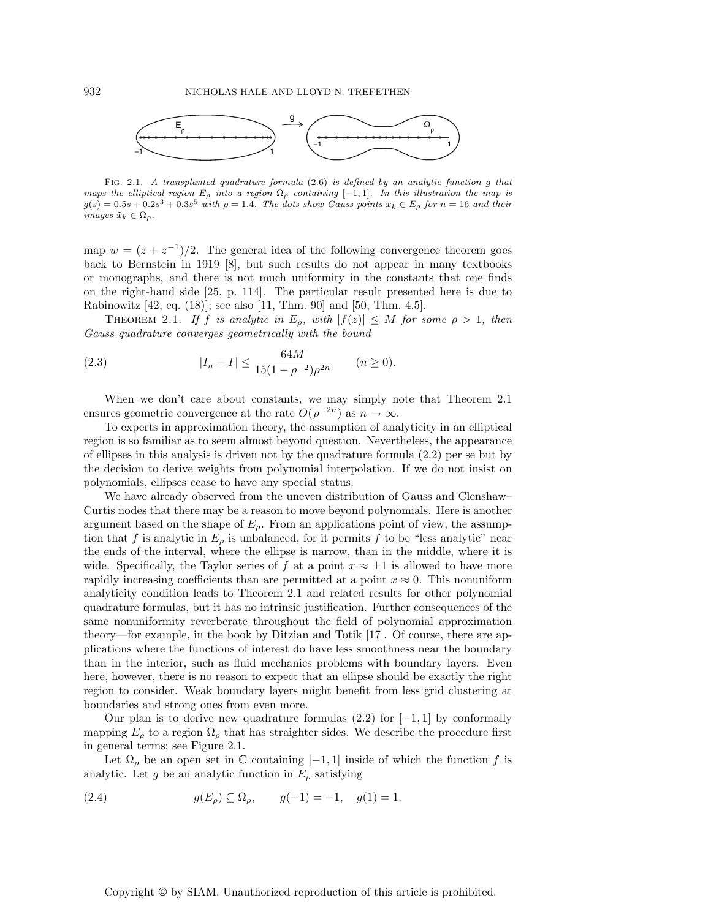

Fig. 2.1. A transplanted quadrature formula (2.6) is defined by an analytic function g that maps the elliptical region  $E_{\rho}$  into a region  $\Omega_{\rho}$  containing [-1, 1]. In this illustration the map is  $g(s)=0.5s + 0.2s<sup>3</sup> + 0.3s<sup>5</sup>$  with  $\rho = 1.4$ . The dots show Gauss points  $x_k \in E_\rho$  for  $n = 16$  and their images  $\tilde{x}_k \in \Omega_\rho$ .

map  $w = (z + z^{-1})/2$ . The general idea of the following convergence theorem goes back to Bernstein in 1919 [8], but such results do not appear in many textbooks or monographs, and there is not much uniformity in the constants that one finds on the right-hand side [25, p. 114]. The particular result presented here is due to Rabinowitz [42, eq. (18)]; see also [11, Thm. 90] and [50, Thm. 4.5].

THEOREM 2.1. If f is analytic in  $E_{\rho}$ , with  $|f(z)| \leq M$  for some  $\rho > 1$ , then Gauss quadrature converges geometrically with the bound

(2.3) 
$$
|I_n - I| \le \frac{64M}{15(1 - \rho^{-2})\rho^{2n}} \qquad (n \ge 0).
$$

When we don't care about constants, we may simply note that Theorem 2.1 ensures geometric convergence at the rate  $O(\rho^{-2n})$  as  $n \to \infty$ .

To experts in approximation theory, the assumption of analyticity in an elliptical region is so familiar as to seem almost beyond question. Nevertheless, the appearance of ellipses in this analysis is driven not by the quadrature formula (2.2) per se but by the decision to derive weights from polynomial interpolation. If we do not insist on polynomials, ellipses cease to have any special status.

We have already observed from the uneven distribution of Gauss and Clenshaw– Curtis nodes that there may be a reason to move beyond polynomials. Here is another argument based on the shape of  $E_{\rho}$ . From an applications point of view, the assumption that f is analytic in  $E_{\rho}$  is unbalanced, for it permits f to be "less analytic" near the ends of the interval, where the ellipse is narrow, than in the middle, where it is wide. Specifically, the Taylor series of f at a point  $x \approx \pm 1$  is allowed to have more rapidly increasing coefficients than are permitted at a point  $x \approx 0$ . This nonuniform analyticity condition leads to Theorem 2.1 and related results for other polynomial quadrature formulas, but it has no intrinsic justification. Further consequences of the same nonuniformity reverberate throughout the field of polynomial approximation theory—for example, in the book by Ditzian and Totik [17]. Of course, there are applications where the functions of interest do have less smoothness near the boundary than in the interior, such as fluid mechanics problems with boundary layers. Even here, however, there is no reason to expect that an ellipse should be exactly the right region to consider. Weak boundary layers might benefit from less grid clustering at boundaries and strong ones from even more.

Our plan is to derive new quadrature formulas  $(2.2)$  for  $[-1, 1]$  by conformally mapping  $E_{\rho}$  to a region  $\Omega_{\rho}$  that has straighter sides. We describe the procedure first in general terms; see Figure 2.1.

Let  $\Omega_{\rho}$  be an open set in  $\mathbb C$  containing  $[-1, 1]$  inside of which the function f is analytic. Let g be an analytic function in  $E_{\rho}$  satisfying

(2.4) 
$$
g(E_{\rho}) \subseteq \Omega_{\rho}, \qquad g(-1) = -1, \quad g(1) = 1.
$$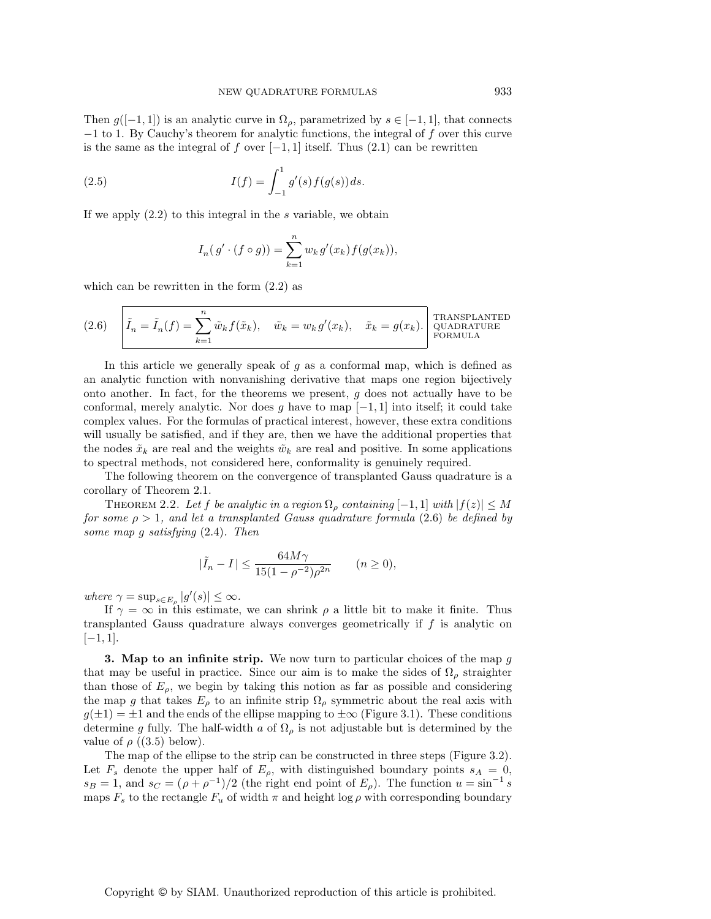Then  $g([-1,1])$  is an analytic curve in  $\Omega_{\rho}$ , parametrized by  $s \in [-1,1]$ , that connects −1 to 1. By Cauchy's theorem for analytic functions, the integral of f over this curve is the same as the integral of f over  $[-1, 1]$  itself. Thus  $(2.1)$  can be rewritten

(2.5) 
$$
I(f) = \int_{-1}^{1} g'(s) f(g(s)) ds.
$$

If we apply  $(2.2)$  to this integral in the s variable, we obtain

$$
I_n(g' \cdot (f \circ g)) = \sum_{k=1}^n w_k g'(x_k) f(g(x_k)),
$$

which can be rewritten in the form  $(2.2)$  as

(2.6) 
$$
\tilde{I}_n = \tilde{I}_n(f) = \sum_{k=1}^n \tilde{w}_k f(\tilde{x}_k), \quad \tilde{w}_k = w_k g'(x_k), \quad \tilde{x}_k = g(x_k). \begin{bmatrix} \text{TRANSPLANTED} \\ \text{QUADRATURE} \\ \text{FORMULA} \end{bmatrix}
$$

In this article we generally speak of  $q$  as a conformal map, which is defined as an analytic function with nonvanishing derivative that maps one region bijectively onto another. In fact, for the theorems we present, g does not actually have to be conformal, merely analytic. Nor does g have to map  $[-1, 1]$  into itself; it could take complex values. For the formulas of practical interest, however, these extra conditions will usually be satisfied, and if they are, then we have the additional properties that the nodes  $\tilde{x}_k$  are real and the weights  $\tilde{w}_k$  are real and positive. In some applications to spectral methods, not considered here, conformality is genuinely required.

The following theorem on the convergence of transplanted Gauss quadrature is a corollary of Theorem 2.1.

THEOREM 2.2. Let f be analytic in a region  $\Omega_{\rho}$  containing  $[-1,1]$  with  $|f(z)| \leq M$ for some  $\rho > 1$ , and let a transplanted Gauss quadrature formula (2.6) be defined by some map g satisfying (2.4). Then

$$
|\tilde{I}_n - I| \le \frac{64M\gamma}{15(1 - \rho^{-2})\rho^{2n}} \qquad (n \ge 0),
$$

where  $\gamma = \sup_{s \in E_\rho} |g'(s)| \leq \infty$ .

If  $\gamma = \infty$  in this estimate, we can shrink  $\rho$  a little bit to make it finite. Thus transplanted Gauss quadrature always converges geometrically if f is analytic on  $[-1, 1].$ 

**3. Map to an infinite strip.** We now turn to particular choices of the map g that may be useful in practice. Since our aim is to make the sides of  $\Omega_{\rho}$  straighter than those of  $E_{\rho}$ , we begin by taking this notion as far as possible and considering the map g that takes  $E_{\rho}$  to an infinite strip  $\Omega_{\rho}$  symmetric about the real axis with  $g(\pm 1) = \pm 1$  and the ends of the ellipse mapping to  $\pm \infty$  (Figure 3.1). These conditions determine g fully. The half-width a of  $\Omega$ <sub>ρ</sub> is not adjustable but is determined by the value of  $\rho$  ((3.5) below).

The map of the ellipse to the strip can be constructed in three steps (Figure 3.2). Let  $F_s$  denote the upper half of  $E_\rho$ , with distinguished boundary points  $s_A = 0$ ,  $s_B = 1$ , and  $s_C = (\rho + \rho^{-1})/2$  (the right end point of  $E_\rho$ ). The function  $u = \sin^{-1} s$ maps  $F_s$  to the rectangle  $F_u$  of width  $\pi$  and height log  $\rho$  with corresponding boundary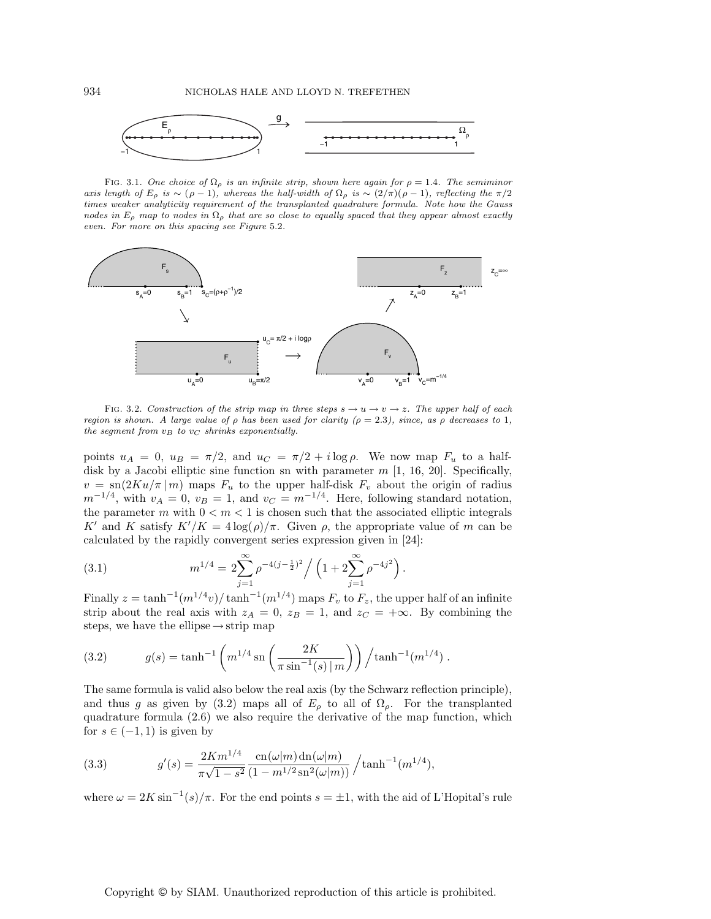

FIG. 3.1. One choice of  $\Omega_{\rho}$  is an infinite strip, shown here again for  $\rho = 1.4$ . The semiminor axis length of  $E_\rho$  is ~ (ρ − 1), whereas the half-width of  $\Omega_\rho$  is ~ (2/π)(ρ − 1), reflecting the π/2 times weaker analyticity requirement of the transplanted quadrature formula. Note how the Gauss nodes in  $E_{\rho}$  map to nodes in  $\Omega_{\rho}$  that are so close to equally spaced that they appear almost exactly even. For more on this spacing see Figure 5.2.



FIG. 3.2. Construction of the strip map in three steps  $s \to u \to v \to z$ . The upper half of each region is shown. A large value of  $\rho$  has been used for clarity ( $\rho = 2.3$ ), since, as  $\rho$  decreases to 1, the segment from  $v_B$  to  $v_C$  shrinks exponentially.

points  $u_A = 0$ ,  $u_B = \pi/2$ , and  $u_C = \pi/2 + i \log \rho$ . We now map  $F_u$  to a halfdisk by a Jacobi elliptic sine function sn with parameter  $m$  [1, 16, 20]. Specifically,  $v = \text{sn}(2Ku/\pi|m)$  maps  $F_u$  to the upper half-disk  $F_v$  about the origin of radius  $m^{-1/4}$ , with  $v_A = 0$ ,  $v_B = 1$ , and  $v_C = m^{-1/4}$ . Here, following standard notation, the parameter m with  $0 < m < 1$  is chosen such that the associated elliptic integrals K' and K satisfy  $K'/K = 4 \log(\rho)/\pi$ . Given  $\rho$ , the appropriate value of m can be calculated by the rapidly convergent series expression given in [24]:

(3.1) 
$$
m^{1/4} = 2 \sum_{j=1}^{\infty} \rho^{-4(j-\frac{1}{2})^2} / \left(1 + 2 \sum_{j=1}^{\infty} \rho^{-4j^2}\right).
$$

Finally  $z = \tanh^{-1}(m^{1/4}v)/\tanh^{-1}(m^{1/4})$  maps  $F_v$  to  $F_z$ , the upper half of an infinite strip about the real axis with  $z_A = 0$ ,  $z_B = 1$ , and  $z_C = +\infty$ . By combining the steps, we have the ellipse  $\rightarrow$  strip map

(3.2) 
$$
g(s) = \tanh^{-1}\left(m^{1/4}\operatorname{sn}\left(\frac{2K}{\pi\sin^{-1}(s)\,|\,m}\right)\right)/\tanh^{-1}(m^{1/4})\,.
$$

The same formula is valid also below the real axis (by the Schwarz reflection principle), and thus g as given by (3.2) maps all of  $E_{\rho}$  to all of  $\Omega_{\rho}$ . For the transplanted quadrature formula (2.6) we also require the derivative of the map function, which for  $s \in (-1, 1)$  is given by

(3.3) 
$$
g'(s) = \frac{2Km^{1/4}}{\pi\sqrt{1-s^2}} \frac{\text{cn}(\omega|m)\,\text{dn}(\omega|m)}{(1-m^{1/2}\,\text{sn}^2(\omega|m))} / \tanh^{-1}(m^{1/4}),
$$

where  $\omega = 2K \sin^{-1}(s)/\pi$ . For the end points  $s = \pm 1$ , with the aid of L'Hopital's rule

## Copyright © by SIAM. Unauthorized reproduction of this article is prohibited.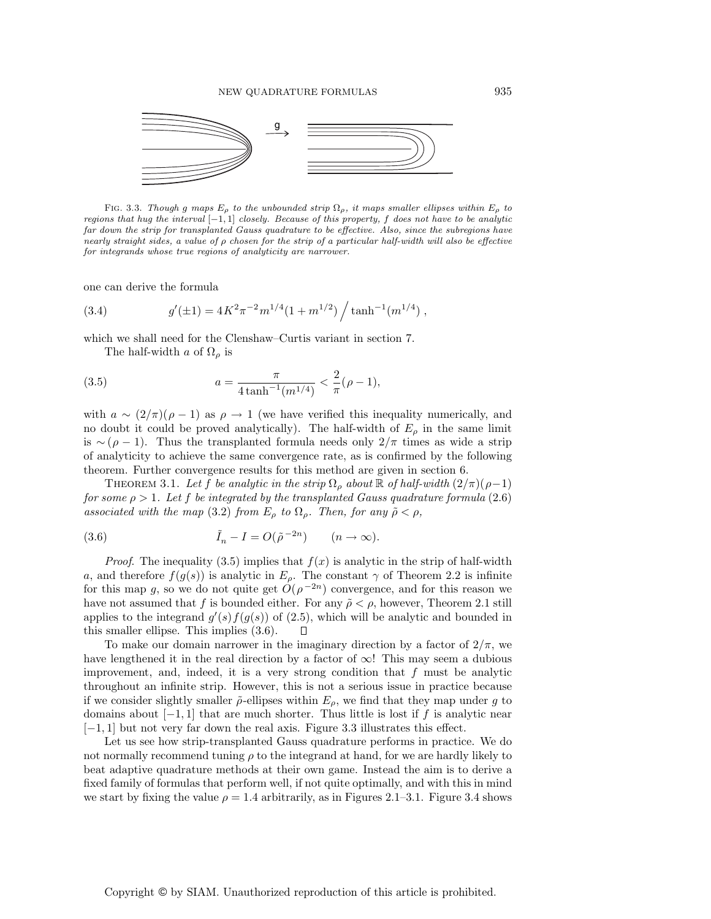

FIG. 3.3. Though g maps  $E_{\rho}$  to the unbounded strip  $\Omega_{\rho}$ , it maps smaller ellipses within  $E_{\rho}$  to regions that hug the interval [−1, 1] closely. Because of this property, f does not have to be analytic far down the strip for transplanted Gauss quadrature to be effective. Also, since the subregions have nearly straight sides, a value of  $\rho$  chosen for the strip of a particular half-width will also be effective for integrands whose true regions of analyticity are narrower.

one can derive the formula

(3.4) 
$$
g'(\pm 1) = 4K^2 \pi^{-2} m^{1/4} (1 + m^{1/2}) / \tanh^{-1}(m^{1/4}),
$$

which we shall need for the Clenshaw–Curtis variant in section 7.

The half-width a of  $\Omega$ <sub>o</sub> is

(3.5) 
$$
a = \frac{\pi}{4 \tanh^{-1}(m^{1/4})} < \frac{2}{\pi}(\rho - 1),
$$

with  $a \sim (2/\pi)(\rho - 1)$  as  $\rho \rightarrow 1$  (we have verified this inequality numerically, and no doubt it could be proved analytically). The half-width of  $E_{\rho}$  in the same limit is ∼ ( $\rho$  − 1). Thus the transplanted formula needs only 2/π times as wide a strip of analyticity to achieve the same convergence rate, as is confirmed by the following theorem. Further convergence results for this method are given in section 6.

THEOREM 3.1. Let f be analytic in the strip  $\Omega_{\rho}$  about  $\mathbb R$  of half-width  $(2/\pi)(\rho-1)$ for some  $\rho > 1$ . Let f be integrated by the transplanted Gauss quadrature formula (2.6) associated with the map (3.2) from  $E_{\rho}$  to  $\Omega_{\rho}$ . Then, for any  $\tilde{\rho} < \rho$ ,

(3.6) 
$$
\tilde{I}_n - I = O(\tilde{\rho}^{-2n}) \qquad (n \to \infty).
$$

*Proof.* The inequality (3.5) implies that  $f(x)$  is analytic in the strip of half-width a, and therefore  $f(g(s))$  is analytic in  $E<sub>o</sub>$ . The constant  $\gamma$  of Theorem 2.2 is infinite for this map g, so we do not quite get  $O(\rho^{-2n})$  convergence, and for this reason we have not assumed that f is bounded either. For any  $\tilde{\rho} < \rho$ , however, Theorem 2.1 still applies to the integrand  $g'(s) f(g(s))$  of (2.5), which will be analytic and bounded in this smaller ellipse. This implies (3.6).

To make our domain narrower in the imaginary direction by a factor of  $2/\pi$ , we have lengthened it in the real direction by a factor of  $\infty$ ! This may seem a dubious improvement, and, indeed, it is a very strong condition that  $f$  must be analytic throughout an infinite strip. However, this is not a serious issue in practice because if we consider slightly smaller  $\tilde{\rho}$ -ellipses within  $E_{\rho}$ , we find that they map under g to domains about  $[-1, 1]$  that are much shorter. Thus little is lost if f is analytic near  $[-1, 1]$  but not very far down the real axis. Figure 3.3 illustrates this effect.

Let us see how strip-transplanted Gauss quadrature performs in practice. We do not normally recommend tuning  $\rho$  to the integrand at hand, for we are hardly likely to beat adaptive quadrature methods at their own game. Instead the aim is to derive a fixed family of formulas that perform well, if not quite optimally, and with this in mind we start by fixing the value  $\rho = 1.4$  arbitrarily, as in Figure 2.1–3.1. Figure 3.4 shows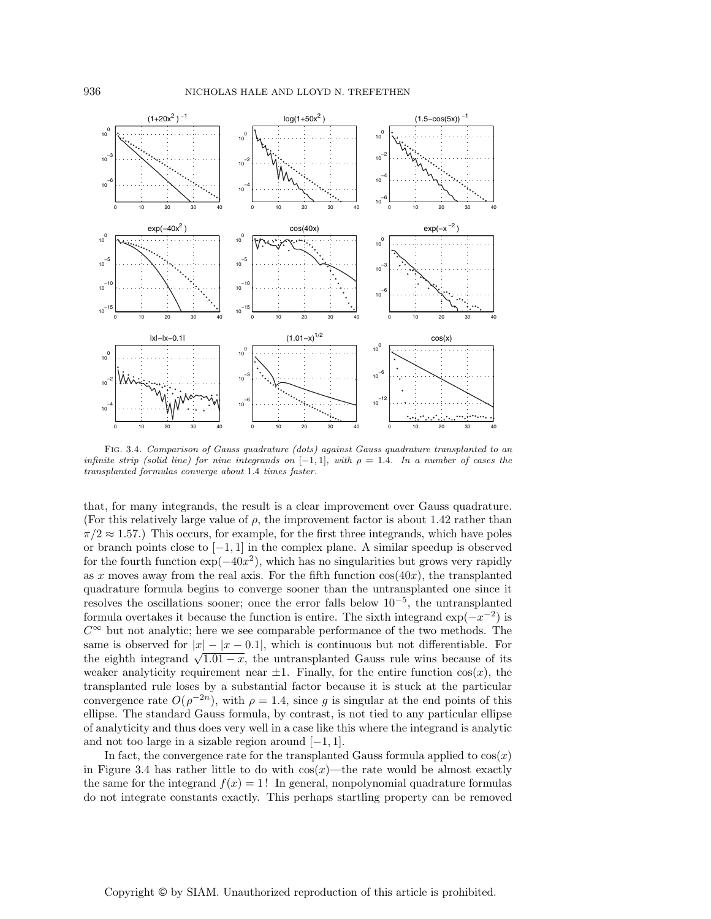

Fig. 3.4. Comparison of Gauss quadrature (dots) against Gauss quadrature transplanted to an infinite strip (solid line) for nine integrands on  $[-1,1]$ , with  $\rho = 1.4$ . In a number of cases the transplanted formulas converge about 1.4 times faster.

that, for many integrands, the result is a clear improvement over Gauss quadrature. (For this relatively large value of  $\rho$ , the improvement factor is about 1.42 rather than  $\pi/2 \approx 1.57$ .) This occurs, for example, for the first three integrands, which have poles or branch points close to  $[-1, 1]$  in the complex plane. A similar speedup is observed for the fourth function  $\exp(-40x^2)$ , which has no singularities but grows very rapidly as x moves away from the real axis. For the fifth function  $cos(40x)$ , the transplanted quadrature formula begins to converge sooner than the untransplanted one since it resolves the oscillations sooner; once the error falls below 10−<sup>5</sup>, the untransplanted formula overtakes it because the function is entire. The sixth integrand  $\exp(-x^{-2})$  is  $C^{\infty}$  but not analytic; here we see comparable performance of the two methods. The same is observed for  $|x| - |x - 0.1|$ , which is continuous but not differentiable. For the eighth integrand  $\sqrt{1.01 - x}$ , the untransplanted Gauss rule wins because of its weaker analyticity requirement near  $\pm 1$ . Finally, for the entire function  $cos(x)$ , the transplanted rule loses by a substantial factor because it is stuck at the particular convergence rate  $O(\rho^{-2n})$ , with  $\rho = 1.4$ , since g is singular at the end points of this ellipse. The standard Gauss formula, by contrast, is not tied to any particular ellipse of analyticity and thus does very well in a case like this where the integrand is analytic and not too large in a sizable region around  $[-1, 1]$ .

In fact, the convergence rate for the transplanted Gauss formula applied to  $cos(x)$ in Figure 3.4 has rather little to do with  $cos(x)$ —the rate would be almost exactly the same for the integrand  $f(x) = 1!$  In general, nonpolynomial quadrature formulas do not integrate constants exactly. This perhaps startling property can be removed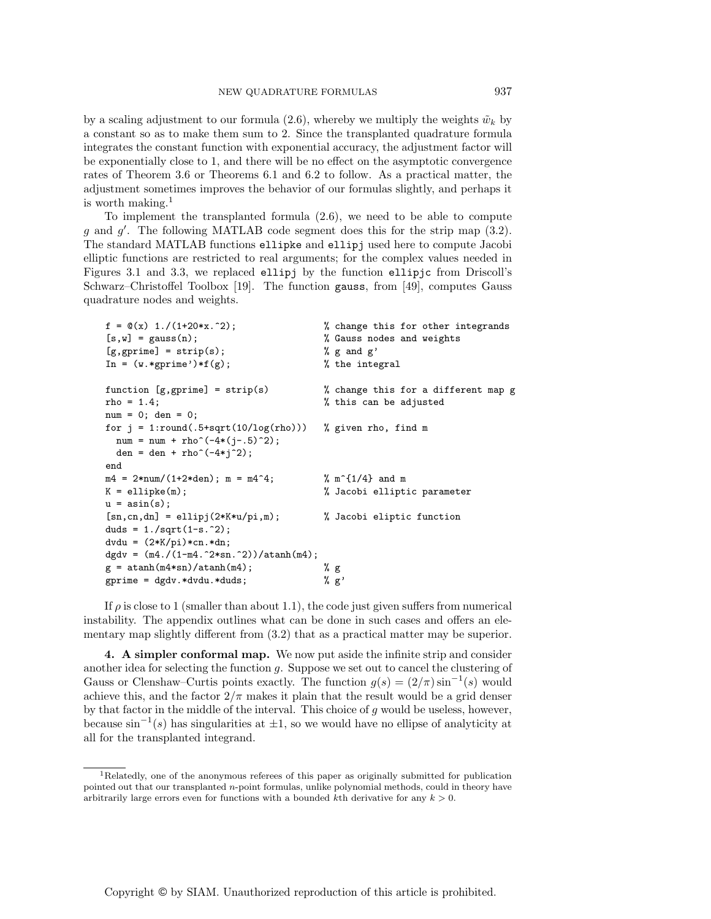by a scaling adjustment to our formula (2.6), whereby we multiply the weights  $\tilde{w}_k$  by a constant so as to make them sum to 2. Since the transplanted quadrature formula integrates the constant function with exponential accuracy, the adjustment factor will be exponentially close to 1, and there will be no effect on the asymptotic convergence rates of Theorem 3.6 or Theorems 6.1 and 6.2 to follow. As a practical matter, the adjustment sometimes improves the behavior of our formulas slightly, and perhaps it is worth making. $1$ 

To implement the transplanted formula (2.6), we need to be able to compute g and g . The following MATLAB code segment does this for the strip map (3.2). The standard MATLAB functions ellipke and ellipj used here to compute Jacobi elliptic functions are restricted to real arguments; for the complex values needed in Figures 3.1 and 3.3, we replaced ellipj by the function ellipjc from Driscoll's Schwarz–Christoffel Toolbox [19]. The function gauss, from [49], computes Gauss quadrature nodes and weights.

| $f = \mathbb{Q}(x) 1./(1+20*x.^2);$               | % change this for other integrands       |
|---------------------------------------------------|------------------------------------------|
| $[s, w] = \text{gauss}(n);$                       | % Gauss nodes and weights                |
| $[g, gprime] = strip(s);$                         | % $g$ and $g'$                           |
| In = $(w.*gprime')*f(g);$                         | % the integral                           |
| function $[g, gprime] = strip(s)$                 | % change this for a different map g      |
| $rho = 1.4;$                                      | % this can be adjusted                   |
| $num = 0$ ; den = 0;                              |                                          |
| for $j = 1$ :round(.5+sqrt(10/log(rho)))          | % given rho, find m                      |
| $num = num + rho^(-4*(j-.5)^2);$                  |                                          |
| den = den + rho^(-4*j^2);                         |                                          |
| end                                               |                                          |
| $m4 = 2*num/(1+2*den); m = m4^4;$                 | $\frac{9}{6}$ m <sup>2</sup> {1/4} and m |
| $K =$ ellipke $(m)$ ;                             | % Jacobi elliptic parameter              |
| $u = \text{asin}(s)$ ;                            |                                          |
| $[sn, cn, dn] =$ ellipj $(2*K*u/pi, m)$ ;         | % Jacobi eliptic function                |
| duds = $1./sqrt(1-s.^2)$ ;                        |                                          |
| $dvdu = (2*K/pi) * cn.*dn;$                       |                                          |
| dgdv = $(m4./(1-m4.^2*sin.^2))/\text{atanh}(m4);$ |                                          |
| $g = \tatanh(m4*sin)/atanh(m4);$                  | % g                                      |
| $gprime = dgdv.*dvdu.*duds;$                      | % g'                                     |

If  $\rho$  is close to 1 (smaller than about 1.1), the code just given suffers from numerical instability. The appendix outlines what can be done in such cases and offers an elementary map slightly different from (3.2) that as a practical matter may be superior.

**4. A simpler conformal map.** We now put aside the infinite strip and consider another idea for selecting the function g. Suppose we set out to cancel the clustering of Gauss or Clenshaw–Curtis points exactly. The function  $g(s) = (2/\pi) \sin^{-1}(s)$  would achieve this, and the factor  $2/\pi$  makes it plain that the result would be a grid denser by that factor in the middle of the interval. This choice of  $q$  would be useless, however, because  $\sin^{-1}(s)$  has singularities at  $\pm 1$ , so we would have no ellipse of analyticity at all for the transplanted integrand.

<sup>1</sup>Relatedly, one of the anonymous referees of this paper as originally submitted for publication pointed out that our transplanted n-point formulas, unlike polynomial methods, could in theory have arbitrarily large errors even for functions with a bounded kth derivative for any  $k > 0$ .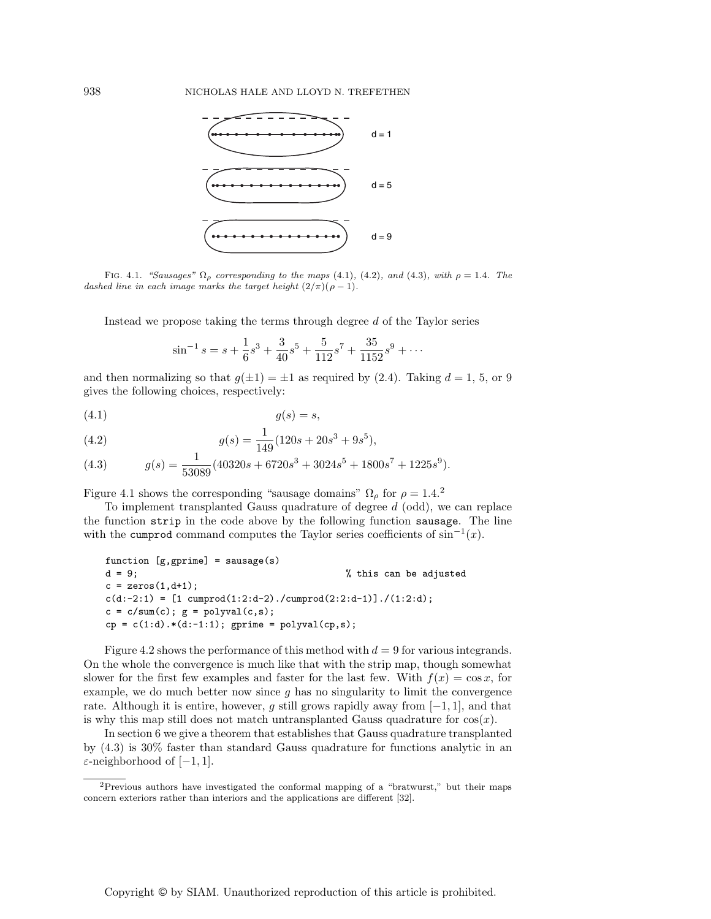

FIG. 4.1. "Sausages"  $\Omega_{\rho}$  corresponding to the maps (4.1), (4.2), and (4.3), with  $\rho = 1.4$ . The dashed line in each image marks the target height  $(2/\pi)(\rho - 1)$ .

Instead we propose taking the terms through degree d of the Taylor series

$$
\sin^{-1} s = s + \frac{1}{6} s^3 + \frac{3}{40} s^5 + \frac{5}{112} s^7 + \frac{35}{1152} s^9 + \cdots
$$

and then normalizing so that  $g(\pm 1) = \pm 1$  as required by (2.4). Taking  $d = 1, 5, \text{ or } 9$ gives the following choices, respectively:

$$
(4.1) \t\t g(s) = s,
$$

(4.2) 
$$
g(s) = \frac{1}{149} (120s + 20s^3 + 9s^5),
$$

(4.3) 
$$
g(s) = \frac{1}{53089} (40320s + 6720s^3 + 3024s^5 + 1800s^7 + 1225s^9).
$$

Figure 4.1 shows the corresponding "sausage domains"  $\Omega_{\rho}$  for  $\rho = 1.4$ .<sup>2</sup>

To implement transplanted Gauss quadrature of degree  $d$  (odd), we can replace the function strip in the code above by the following function sausage. The line with the cumprod command computes the Taylor series coefficients of  $sin^{-1}(x)$ .

```
function [g, gprime] = sausage(s)
d = 9; % this can be adjusted
c = zeros(1, d+1);c(d:-2:1) = [1 \text{ cumprod}(1:2:d-2) \cdot / \text{cumprod}(2:2:d-1)] \cdot / (1:2:d);c = c/sum(c); g = polyval(c,s);cp = c(1:d).*(d:-1:1); gprime = polyval(cp,s);
```
Figure 4.2 shows the performance of this method with  $d = 9$  for various integrands. On the whole the convergence is much like that with the strip map, though somewhat slower for the first few examples and faster for the last few. With  $f(x) = \cos x$ , for example, we do much better now since q has no singularity to limit the convergence rate. Although it is entire, however, g still grows rapidly away from  $[-1, 1]$ , and that is why this map still does not match untransplanted Gauss quadrature for  $cos(x)$ .

In section 6 we give a theorem that establishes that Gauss quadrature transplanted by (4.3) is 30% faster than standard Gauss quadrature for functions analytic in an  $\varepsilon$ -neighborhood of [−1, 1].

<sup>2</sup>Previous authors have investigated the conformal mapping of a "bratwurst," but their maps concern exteriors rather than interiors and the applications are different [32].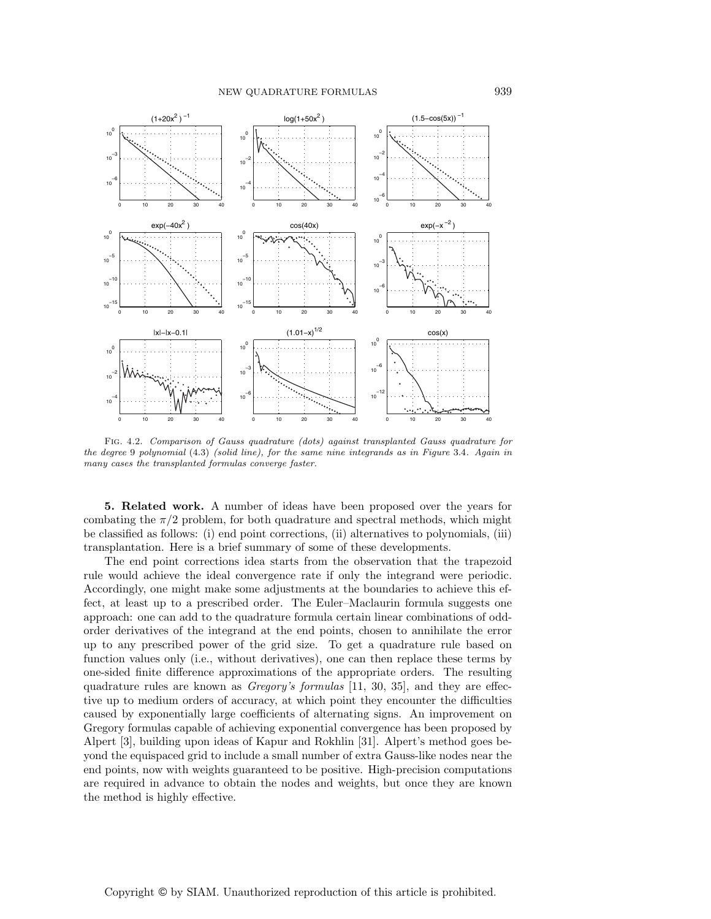

Fig. 4.2. Comparison of Gauss quadrature (dots) against transplanted Gauss quadrature for the degree 9 polynomial (4.3) (solid line), for the same nine integrands as in Figure 3.4. Again in many cases the transplanted formulas converge faster.

**5. Related work.** A number of ideas have been proposed over the years for combating the  $\pi/2$  problem, for both quadrature and spectral methods, which might be classified as follows: (i) end point corrections, (ii) alternatives to polynomials, (iii) transplantation. Here is a brief summary of some of these developments.

The end point corrections idea starts from the observation that the trapezoid rule would achieve the ideal convergence rate if only the integrand were periodic. Accordingly, one might make some adjustments at the boundaries to achieve this effect, at least up to a prescribed order. The Euler–Maclaurin formula suggests one approach: one can add to the quadrature formula certain linear combinations of oddorder derivatives of the integrand at the end points, chosen to annihilate the error up to any prescribed power of the grid size. To get a quadrature rule based on function values only (i.e., without derivatives), one can then replace these terms by one-sided finite difference approximations of the appropriate orders. The resulting quadrature rules are known as Gregory's formulas [11, 30, 35], and they are effective up to medium orders of accuracy, at which point they encounter the difficulties caused by exponentially large coefficients of alternating signs. An improvement on Gregory formulas capable of achieving exponential convergence has been proposed by Alpert [3], building upon ideas of Kapur and Rokhlin [31]. Alpert's method goes beyond the equispaced grid to include a small number of extra Gauss-like nodes near the end points, now with weights guaranteed to be positive. High-precision computations are required in advance to obtain the nodes and weights, but once they are known the method is highly effective.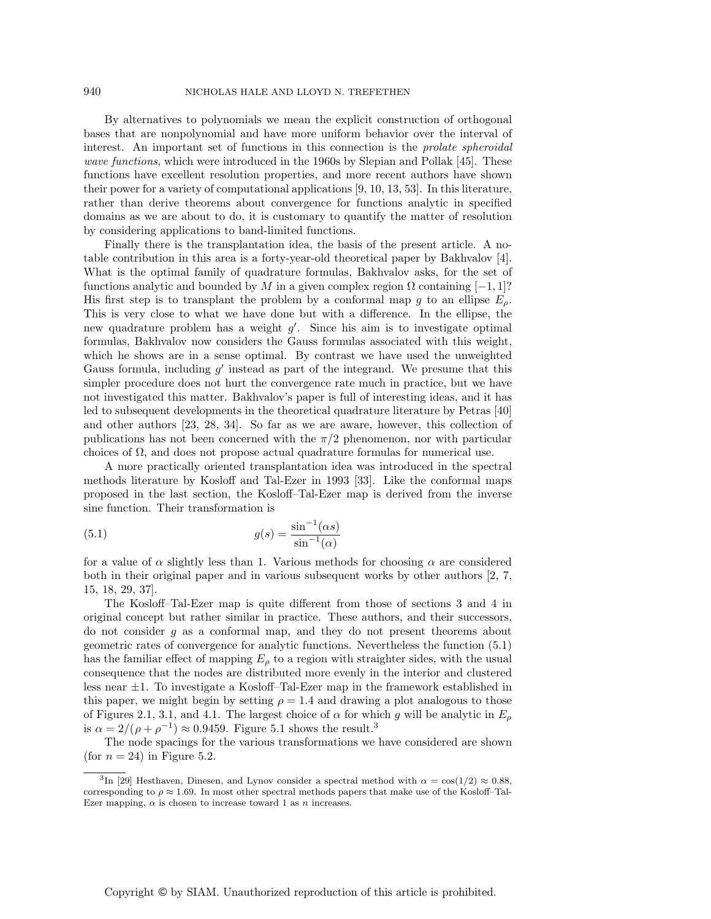By alternatives to polynomials we mean the explicit construction of orthogonal bases that are nonpolynomial and have more uniform behavior over the interval of interest. An important set of functions in this connection is the prolate spheroidal wave functions, which were introduced in the 1960s by Slepian and Pollak [45]. These functions have excellent resolution properties, and more recent authors have shown their power for a variety of computational applications [9, 10, 13, 53]. In this literature, rather than derive theorems about convergence for functions analytic in specified domains as we are about to do, it is customary to quantify the matter of resolution by considering applications to band-limited functions.

Finally there is the transplantation idea, the basis of the present article. A notable contribution in this area is a forty-year-old theoretical paper by Bakhvalov [4]. What is the optimal family of quadrature formulas, Bakhvalov asks, for the set of functions analytic and bounded by M in a given complex region  $\Omega$  containing [−1, 1]? His first step is to transplant the problem by a conformal map g to an ellipse  $E_{\rho}$ . This is very close to what we have done but with a difference. In the ellipse, the new quadrature problem has a weight  $g'$ . Since his aim is to investigate optimal formulas, Bakhvalov now considers the Gauss formulas associated with this weight, which he shows are in a sense optimal. By contrast we have used the unweighted Gauss formula, including  $g'$  instead as part of the integrand. We presume that this simpler procedure does not hurt the convergence rate much in practice, but we have not investigated this matter. Bakhvalov's paper is full of interesting ideas, and it has led to subsequent developments in the theoretical quadrature literature by Petras [40] and other authors [23, 28, 34]. So far as we are aware, however, this collection of publications has not been concerned with the  $\pi/2$  phenomenon, nor with particular choices of  $\Omega$ , and does not propose actual quadrature formulas for numerical use.

A more practically oriented transplantation idea was introduced in the spectral methods literature by Kosloff and Tal-Ezer in 1993 [33]. Like the conformal maps proposed in the last section, the Kosloff–Tal-Ezer map is derived from the inverse sine function. Their transformation is

(5.1) 
$$
g(s) = \frac{\sin^{-1}(\alpha s)}{\sin^{-1}(\alpha)}
$$

for a value of  $\alpha$  slightly less than 1. Various methods for choosing  $\alpha$  are considered both in their original paper and in various subsequent works by other authors [2, 7, 15, 18, 29, 37].

The Kosloff–Tal-Ezer map is quite different from those of sections 3 and 4 in original concept but rather similar in practice. These authors, and their successors, do not consider g as a conformal map, and they do not present theorems about geometric rates of convergence for analytic functions. Nevertheless the function (5.1) has the familiar effect of mapping  $E_{\rho}$  to a region with straighter sides, with the usual consequence that the nodes are distributed more evenly in the interior and clustered less near ±1. To investigate a Kosloff–Tal-Ezer map in the framework established in this paper, we might begin by setting  $\rho = 1.4$  and drawing a plot analogous to those of Figures 2.1, 3.1, and 4.1. The largest choice of  $\alpha$  for which g will be analytic in  $E_{\rho}$ is  $\alpha = 2/(\rho + \rho^{-1}) \approx 0.9459$ . Figure 5.1 shows the result.<sup>3</sup>

The node spacings for the various transformations we have considered are shown (for  $n = 24$ ) in Figure 5.2.

<sup>&</sup>lt;sup>3</sup>In [29] Hesthaven, Dinesen, and Lynov consider a spectral method with  $\alpha = \cos(1/2) \approx 0.88$ , corresponding to  $\rho \approx 1.69$ . In most other spectral methods papers that make use of the Kosloff–Tal-Ezer mapping,  $\alpha$  is chosen to increase toward 1 as n increases.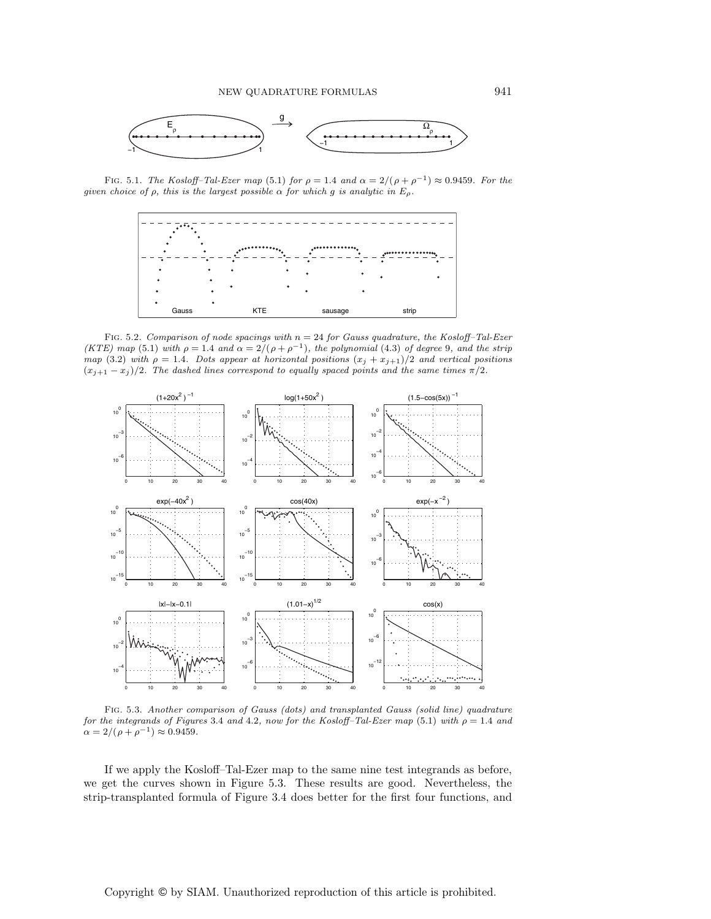

FIG. 5.1. The Kosloff–Tal-Ezer map (5.1) for  $\rho = 1.4$  and  $\alpha = 2/(\rho + \rho^{-1}) \approx 0.9459$ . For the given choice of  $\rho$ , this is the largest possible  $\alpha$  for which g is analytic in  $E_{\rho}$ .



FIG. 5.2. Comparison of node spacings with  $n = 24$  for Gauss quadrature, the Kosloff-Tal-Ezer (KTE) map (5.1) with  $\rho = 1.4$  and  $\alpha = 2/(\rho + \rho^{-1})$ , the polynomial (4.3) of degree 9, and the strip map (3.2) with  $\rho = 1.4$ . Dots appear at horizontal positions  $(x_j + x_{j+1})/2$  and vertical positions  $(x_{j+1} - x_j)/2$ . The dashed lines correspond to equally spaced points and the same times  $\pi/2$ .



Fig. 5.3. Another comparison of Gauss (dots) and transplanted Gauss (solid line) quadrature for the integrands of Figures 3.4 and 4.2, now for the Kosloff-Tal-Ezer map (5.1) with  $\rho = 1.4$  and  $\alpha = 2/(\rho + \rho^{-1}) \approx 0.9459.$ 

If we apply the Kosloff–Tal-Ezer map to the same nine test integrands as before, we get the curves shown in Figure 5.3. These results are good. Nevertheless, the strip-transplanted formula of Figure 3.4 does better for the first four functions, and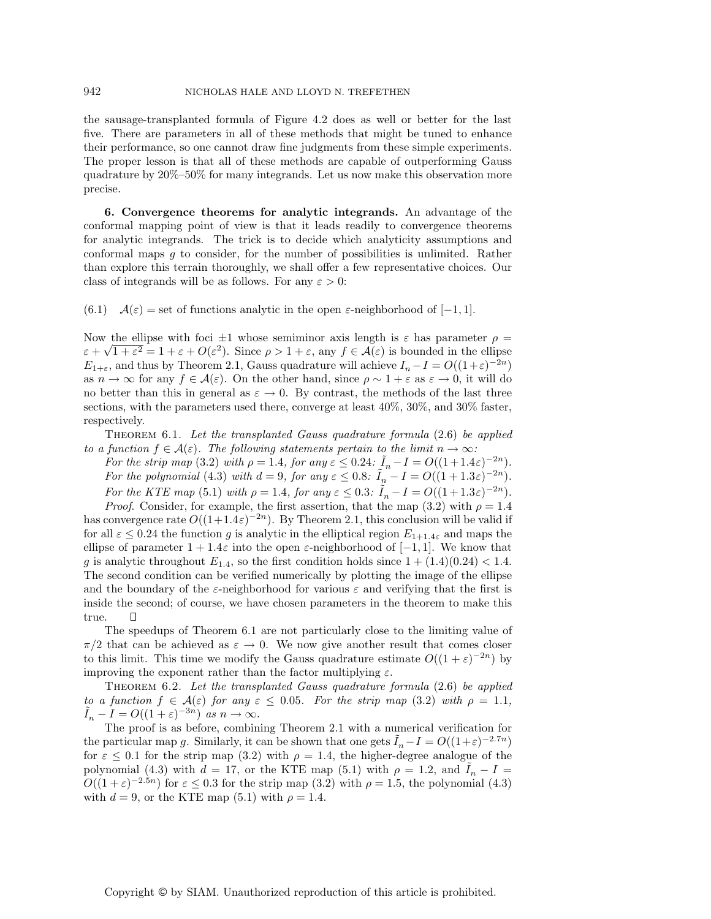the sausage-transplanted formula of Figure 4.2 does as well or better for the last five. There are parameters in all of these methods that might be tuned to enhance their performance, so one cannot draw fine judgments from these simple experiments. The proper lesson is that all of these methods are capable of outperforming Gauss quadrature by 20%–50% for many integrands. Let us now make this observation more precise.

**6. Convergence theorems for analytic integrands.** An advantage of the conformal mapping point of view is that it leads readily to convergence theorems for analytic integrands. The trick is to decide which analyticity assumptions and conformal maps g to consider, for the number of possibilities is unlimited. Rather than explore this terrain thoroughly, we shall offer a few representative choices. Our class of integrands will be as follows. For any  $\varepsilon > 0$ :

(6.1)  $\mathcal{A}(\varepsilon) = \text{set of functions analytic in the open } \varepsilon\text{-neighborhood of } [-1, 1].$ 

Now the ellipse with foci  $\pm 1$  whose semiminor axis length is  $\varepsilon$  has parameter  $\rho =$ From the empse with loci  $\pm 1$  whose seminimor axis length is  $\varepsilon$  has parameter  $\rho = \varepsilon + \sqrt{1 + \varepsilon^2} = 1 + \varepsilon + O(\varepsilon^2)$ . Since  $\rho > 1 + \varepsilon$ , any  $f \in \mathcal{A}(\varepsilon)$  is bounded in the ellipse  $E_{1+\varepsilon}$ , and thus by Theorem 2.1, Gauss quadrature will achieve  $I_n - I = O((1+\varepsilon)^{-2n})$ as  $n \to \infty$  for any  $f \in \mathcal{A}(\varepsilon)$ . On the other hand, since  $\rho \sim 1 + \varepsilon$  as  $\varepsilon \to 0$ , it will do no better than this in general as  $\varepsilon \to 0$ . By contrast, the methods of the last three sections, with the parameters used there, converge at least 40%, 30%, and 30% faster, respectively.

THEOREM 6.1. Let the transplanted Gauss quadrature formula  $(2.6)$  be applied to a function  $f \in \mathcal{A}(\varepsilon)$ . The following statements pertain to the limit  $n \to \infty$ :

For the strip map (3.2) with  $\rho = 1.4$ , for any  $\varepsilon \leq 0.24$ :  $I_n - I = O((1+1.4\varepsilon)^{-2n})$ . For the polynomial (4.3) with  $d = 9$ , for any  $\varepsilon \leq 0.8$ :  $\tilde{I}_n - I = O((1 + 1.3\varepsilon)^{-2n})$ . For the KTE map (5.1) with  $\rho = 1.4$ , for any  $\varepsilon \leq 0.3$ :  $\tilde{I}_n - I = O((1+1.3\varepsilon)^{-2n})$ .

*Proof.* Consider, for example, the first assertion, that the map  $(3.2)$  with  $\rho = 1.4$ has convergence rate  $O((1+1.4\varepsilon)^{-2n})$ . By Theorem 2.1, this conclusion will be valid if for all  $\varepsilon \leq 0.24$  the function g is analytic in the elliptical region  $E_{1+1.4\varepsilon}$  and maps the ellipse of parameter  $1 + 1.4\varepsilon$  into the open  $\varepsilon$ -neighborhood of  $[-1, 1]$ . We know that g is analytic throughout  $E_{1.4}$ , so the first condition holds since  $1 + (1.4)(0.24) < 1.4$ . The second condition can be verified numerically by plotting the image of the ellipse and the boundary of the  $\varepsilon$ -neighborhood for various  $\varepsilon$  and verifying that the first is inside the second; of course, we have chosen parameters in the theorem to make this true.  $\Box$ 

The speedups of Theorem 6.1 are not particularly close to the limiting value of  $\pi/2$  that can be achieved as  $\varepsilon \to 0$ . We now give another result that comes closer to this limit. This time we modify the Gauss quadrature estimate  $O((1 + \varepsilon)^{-2n})$  by improving the exponent rather than the factor multiplying  $\varepsilon$ .

THEOREM 6.2. Let the transplanted Gauss quadrature formula  $(2.6)$  be applied to a function  $f \in \mathcal{A}(\varepsilon)$  for any  $\varepsilon \leq 0.05$ . For the strip map (3.2) with  $\rho = 1.1$ ,  $\tilde{I}_n - I = O((1 + \varepsilon)^{-3n})$  as  $n \to \infty$ .

The proof is as before, combining Theorem 2.1 with a numerical verification for the particular map g. Similarly, it can be shown that one gets  $\tilde{I}_n-I=O((1+\varepsilon)^{-2.7n})$ for  $\varepsilon \leq 0.1$  for the strip map (3.2) with  $\rho = 1.4$ , the higher-degree analogue of the polynomial (4.3) with  $d = 17$ , or the KTE map (5.1) with  $\rho = 1.2$ , and  $I_n - I =$  $O((1+\varepsilon)^{-2.5n})$  for  $\varepsilon \leq 0.3$  for the strip map  $(3.2)$  with  $\rho = 1.5$ , the polynomial  $(4.3)$ with  $d = 9$ , or the KTE map (5.1) with  $\rho = 1.4$ .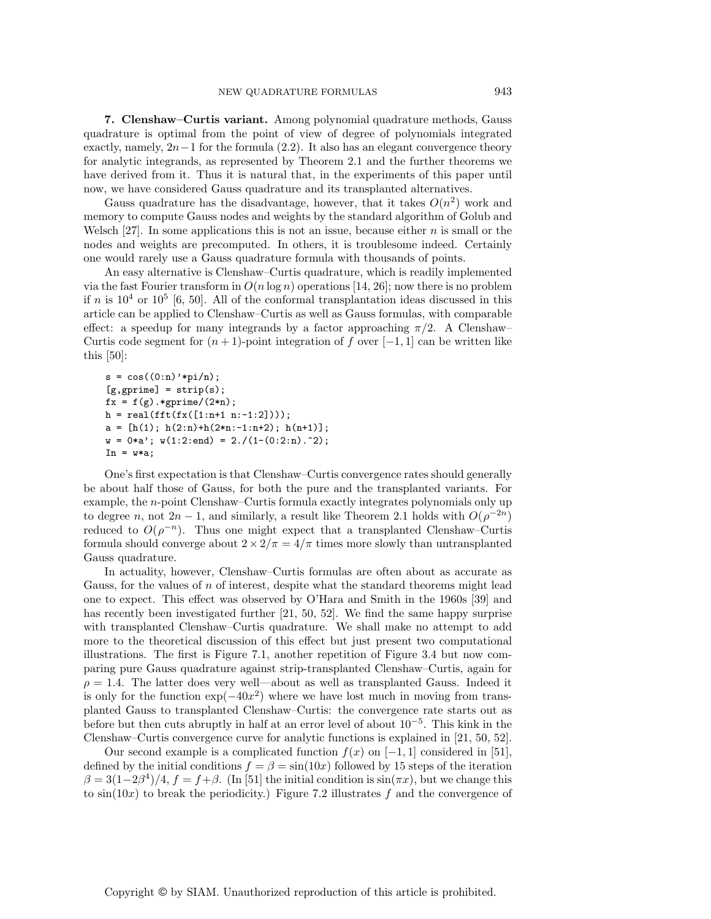**7. Clenshaw–Curtis variant.** Among polynomial quadrature methods, Gauss quadrature is optimal from the point of view of degree of polynomials integrated exactly, namely,  $2n-1$  for the formula (2.2). It also has an elegant convergence theory for analytic integrands, as represented by Theorem 2.1 and the further theorems we have derived from it. Thus it is natural that, in the experiments of this paper until now, we have considered Gauss quadrature and its transplanted alternatives.

Gauss quadrature has the disadvantage, however, that it takes  $O(n^2)$  work and memory to compute Gauss nodes and weights by the standard algorithm of Golub and Welsch [27]. In some applications this is not an issue, because either  $n$  is small or the nodes and weights are precomputed. In others, it is troublesome indeed. Certainly one would rarely use a Gauss quadrature formula with thousands of points.

An easy alternative is Clenshaw–Curtis quadrature, which is readily implemented via the fast Fourier transform in  $O(n \log n)$  operations [14, 26]; now there is no problem if n is  $10^4$  or  $10^5$  [6, 50]. All of the conformal transplantation ideas discussed in this article can be applied to Clenshaw–Curtis as well as Gauss formulas, with comparable effect: a speedup for many integrands by a factor approaching  $\pi/2$ . A Clenshaw– Curtis code segment for  $(n+1)$ -point integration of f over  $[-1,1]$  can be written like this [50]:

```
s = cos((0:n) * pi/n);[g, gprime] = strip(s);fx = f(g).*gprime/(2*n);h = real(fft(fx([1:n+1 n:-1:2])));a = [h(1); h(2:n)+h(2*n:-1:n+2); h(n+1)];w = 0*a; w(1:2:end) = 2./(1-(0:2:n).^2);In = w*a;
```
One's first expectation is that Clenshaw–Curtis convergence rates should generally be about half those of Gauss, for both the pure and the transplanted variants. For example, the n-point Clenshaw–Curtis formula exactly integrates polynomials only up to degree n, not  $2n-1$ , and similarly, a result like Theorem 2.1 holds with  $O(\rho^{-2n})$ reduced to  $O(\rho^{-n})$ . Thus one might expect that a transplanted Clenshaw–Curtis formula should converge about  $2 \times 2/\pi = 4/\pi$  times more slowly than untransplanted Gauss quadrature.

In actuality, however, Clenshaw–Curtis formulas are often about as accurate as Gauss, for the values of n of interest, despite what the standard theorems might lead one to expect. This effect was observed by O'Hara and Smith in the 1960s [39] and has recently been investigated further [21, 50, 52]. We find the same happy surprise with transplanted Clenshaw–Curtis quadrature. We shall make no attempt to add more to the theoretical discussion of this effect but just present two computational illustrations. The first is Figure 7.1, another repetition of Figure 3.4 but now comparing pure Gauss quadrature against strip-transplanted Clenshaw–Curtis, again for  $\rho = 1.4$ . The latter does very well—about as well as transplanted Gauss. Indeed it is only for the function  $\exp(-40x^2)$  where we have lost much in moving from transplanted Gauss to transplanted Clenshaw–Curtis: the convergence rate starts out as before but then cuts abruptly in half at an error level of about  $10^{-5}$ . This kink in the Clenshaw–Curtis convergence curve for analytic functions is explained in [21, 50, 52].

Our second example is a complicated function  $f(x)$  on  $[-1, 1]$  considered in [51], defined by the initial conditions  $f = \beta = \sin(10x)$  followed by 15 steps of the iteration  $\beta = 3(1-2\beta^4)/4$ ,  $f = f+\beta$ . (In [51] the initial condition is  $\sin(\pi x)$ , but we change this to  $sin(10x)$  to break the periodicity.) Figure 7.2 illustrates f and the convergence of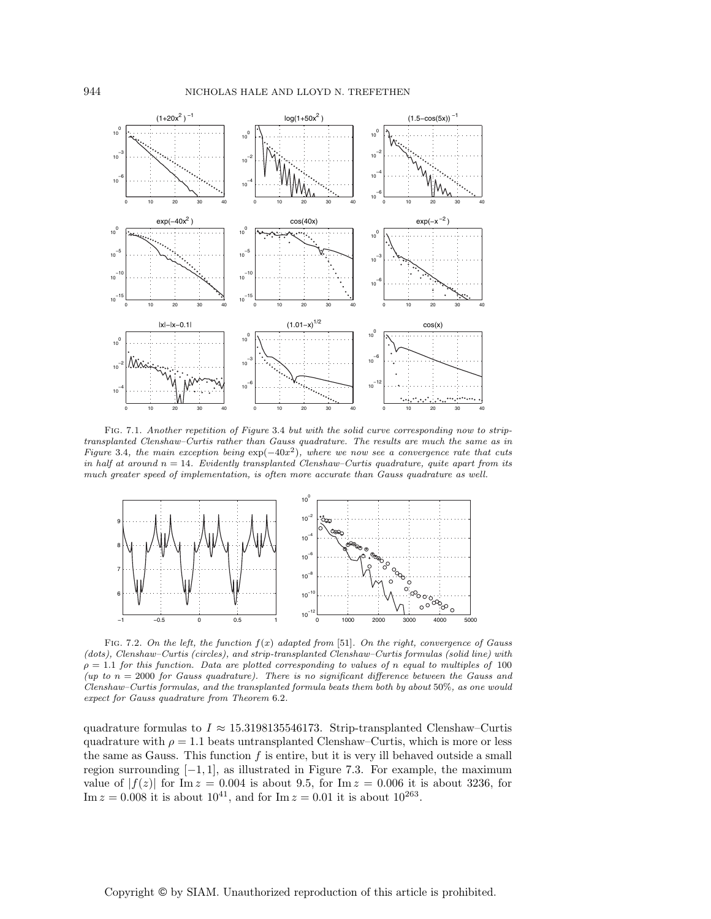

Fig. 7.1. Another repetition of Figure 3.4 but with the solid curve corresponding now to striptransplanted Clenshaw–Curtis rather than Gauss quadrature. The results are much the same as in Figure 3.4, the main exception being  $\exp(-40x^2)$ , where we now see a convergence rate that cuts in half at around  $n = 14$ . Evidently transplanted Clenshaw–Curtis quadrature, quite apart from its much greater speed of implementation, is often more accurate than Gauss quadrature as well.



FIG. 7.2. On the left, the function  $f(x)$  adapted from [51]. On the right, convergence of Gauss (dots), Clenshaw–Curtis (circles), and strip-transplanted Clenshaw–Curtis formulas (solid line) with  $\rho = 1.1$  for this function. Data are plotted corresponding to values of n equal to multiples of 100 (up to  $n = 2000$  for Gauss quadrature). There is no significant difference between the Gauss and Clenshaw–Curtis formulas, and the transplanted formula beats them both by about 50%, as one would expect for Gauss quadrature from Theorem 6.2.

quadrature formulas to  $I \approx 15.3198135546173$ . Strip-transplanted Clenshaw–Curtis quadrature with  $\rho = 1.1$  beats untransplanted Clenshaw–Curtis, which is more or less the same as Gauss. This function  $f$  is entire, but it is very ill behaved outside a small region surrounding  $[-1, 1]$ , as illustrated in Figure 7.3. For example, the maximum value of  $|f(z)|$  for Im  $z = 0.004$  is about 9.5, for Im  $z = 0.006$  it is about 3236, for Im  $z = 0.008$  it is about  $10^{41}$ , and for Im  $z = 0.01$  it is about  $10^{263}$ .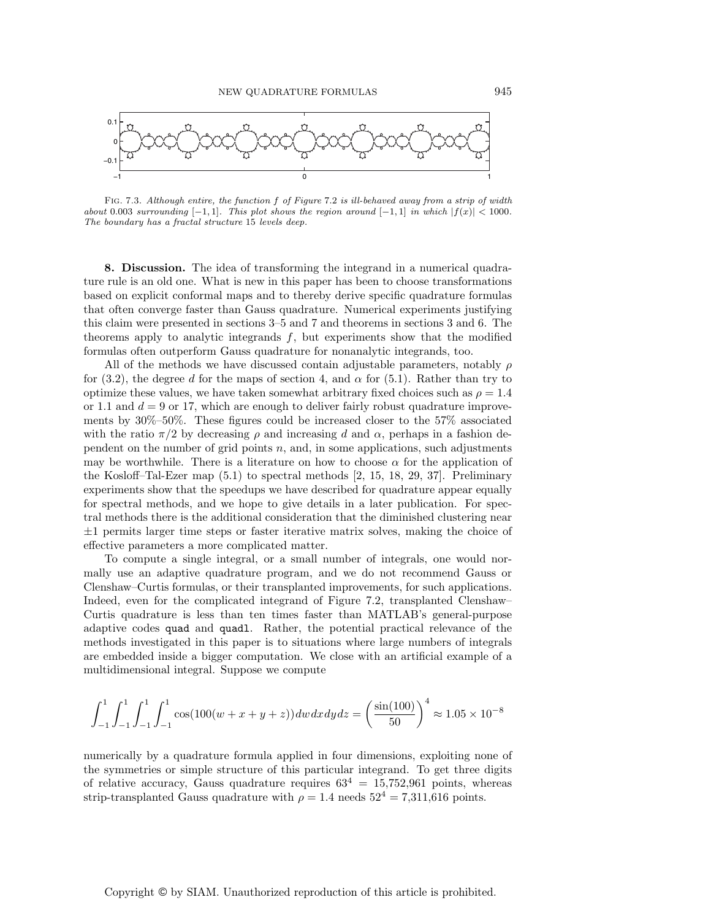

Fig. 7.3. Although entire, the function f of Figure 7.2 is ill-behaved away from a strip of width about 0.003 surrounding  $[-1, 1]$ . This plot shows the region around  $[-1, 1]$  in which  $|f(x)| < 1000$ . The boundary has a fractal structure 15 levels deep.

**8. Discussion.** The idea of transforming the integrand in a numerical quadrature rule is an old one. What is new in this paper has been to choose transformations based on explicit conformal maps and to thereby derive specific quadrature formulas that often converge faster than Gauss quadrature. Numerical experiments justifying this claim were presented in sections 3–5 and 7 and theorems in sections 3 and 6. The theorems apply to analytic integrands  $f$ , but experiments show that the modified formulas often outperform Gauss quadrature for nonanalytic integrands, too.

All of the methods we have discussed contain adjustable parameters, notably  $\rho$ for (3.2), the degree d for the maps of section 4, and  $\alpha$  for (5.1). Rather than try to optimize these values, we have taken somewhat arbitrary fixed choices such as  $\rho = 1.4$ or 1.1 and  $d = 9$  or 17, which are enough to deliver fairly robust quadrature improvements by 30%–50%. These figures could be increased closer to the 57% associated with the ratio  $\pi/2$  by decreasing  $\rho$  and increasing d and  $\alpha$ , perhaps in a fashion dependent on the number of grid points  $n$ , and, in some applications, such adjustments may be worthwhile. There is a literature on how to choose  $\alpha$  for the application of the Kosloff–Tal-Ezer map (5.1) to spectral methods [2, 15, 18, 29, 37]. Preliminary experiments show that the speedups we have described for quadrature appear equally for spectral methods, and we hope to give details in a later publication. For spectral methods there is the additional consideration that the diminished clustering near  $\pm 1$  permits larger time steps or faster iterative matrix solves, making the choice of effective parameters a more complicated matter.

To compute a single integral, or a small number of integrals, one would normally use an adaptive quadrature program, and we do not recommend Gauss or Clenshaw–Curtis formulas, or their transplanted improvements, for such applications. Indeed, even for the complicated integrand of Figure 7.2, transplanted Clenshaw– Curtis quadrature is less than ten times faster than MATLAB's general-purpose adaptive codes quad and quadl. Rather, the potential practical relevance of the methods investigated in this paper is to situations where large numbers of integrals are embedded inside a bigger computation. We close with an artificial example of a multidimensional integral. Suppose we compute

$$
\int_{-1}^{1} \int_{-1}^{1} \int_{-1}^{1} \int_{-1}^{1} \cos(100(w+x+y+z)) dw dx dy dz = \left(\frac{\sin(100)}{50}\right)^4 \approx 1.05 \times 10^{-8}
$$

numerically by a quadrature formula applied in four dimensions, exploiting none of the symmetries or simple structure of this particular integrand. To get three digits of relative accuracy, Gauss quadrature requires  $63^4 = 15,752,961$  points, whereas strip-transplanted Gauss quadrature with  $\rho = 1.4$  needs  $52^4 = 7,311,616$  points.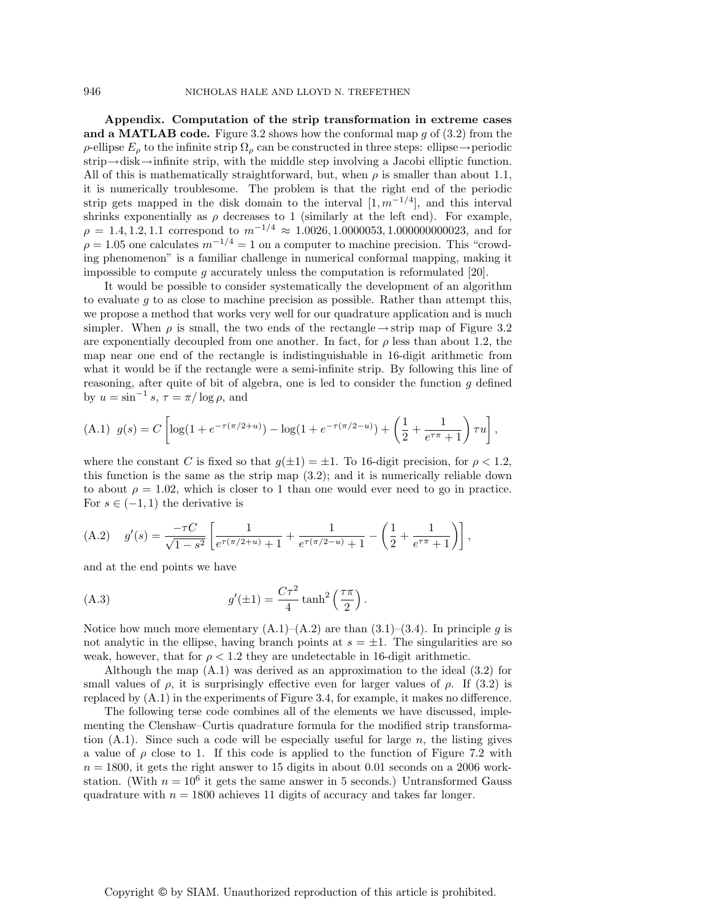**Appendix. Computation of the strip transformation in extreme cases and a MATLAB code.** Figure 3.2 shows how the conformal map  $g$  of  $(3.2)$  from the  $ρ$ -ellipse  $E<sub>ρ</sub>$  to the infinite strip  $Ω<sub>ρ</sub>$  can be constructed in three steps: ellipse→periodic strip→disk→infinite strip, with the middle step involving a Jacobi elliptic function. All of this is mathematically straightforward, but, when  $\rho$  is smaller than about 1.1, it is numerically troublesome. The problem is that the right end of the periodic strip gets mapped in the disk domain to the interval  $[1, m^{-1/4}]$ , and this interval shrinks exponentially as  $\rho$  decreases to 1 (similarly at the left end). For example,  $\rho = 1.4, 1.2, 1.1$  correspond to  $m^{-1/4} \approx 1.0026, 1.0000053, 1.000000000023$ , and for  $\rho = 1.05$  one calculates  $m^{-1/4} = 1$  on a computer to machine precision. This "crowding phenomenon" is a familiar challenge in numerical conformal mapping, making it impossible to compute q accurately unless the computation is reformulated [20].

It would be possible to consider systematically the development of an algorithm to evaluate  $g$  to as close to machine precision as possible. Rather than attempt this, we propose a method that works very well for our quadrature application and is much simpler. When  $\rho$  is small, the two ends of the rectangle  $\rightarrow$  strip map of Figure 3.2 are exponentially decoupled from one another. In fact, for  $\rho$  less than about 1.2, the map near one end of the rectangle is indistinguishable in 16-digit arithmetic from what it would be if the rectangle were a semi-infinite strip. By following this line of reasoning, after quite of bit of algebra, one is led to consider the function  $g$  defined by  $u = \sin^{-1} s$ ,  $\tau = \pi / \log \rho$ , and

(A.1) 
$$
g(s) = C \left[ \log(1 + e^{-\tau(\pi/2 + u)}) - \log(1 + e^{-\tau(\pi/2 - u)}) + \left(\frac{1}{2} + \frac{1}{e^{\tau \pi} + 1}\right) \tau u \right],
$$

where the constant C is fixed so that  $q(\pm 1) = \pm 1$ . To 16-digit precision, for  $\rho < 1.2$ , this function is the same as the strip map (3.2); and it is numerically reliable down to about  $\rho = 1.02$ , which is closer to 1 than one would ever need to go in practice. For  $s \in (-1, 1)$  the derivative is

(A.2) 
$$
g'(s) = \frac{-\tau C}{\sqrt{1-s^2}} \left[ \frac{1}{e^{\tau(\pi/2+u)} + 1} + \frac{1}{e^{\tau(\pi/2-u)} + 1} - \left( \frac{1}{2} + \frac{1}{e^{\tau\pi} + 1} \right) \right],
$$

and at the end points we have

(A.3) 
$$
g'(\pm 1) = \frac{C\tau^2}{4}\tanh^2\left(\frac{\tau\pi}{2}\right).
$$

Notice how much more elementary  $(A.1)$ – $(A.2)$  are than  $(3.1)$ – $(3.4)$ . In principle g is not analytic in the ellipse, having branch points at  $s = \pm 1$ . The singularities are so weak, however, that for  $\rho < 1.2$  they are undetectable in 16-digit arithmetic.

Although the map  $(A.1)$  was derived as an approximation to the ideal  $(3.2)$  for small values of  $\rho$ , it is surprisingly effective even for larger values of  $\rho$ . If (3.2) is replaced by (A.1) in the experiments of Figure 3.4, for example, it makes no difference.

The following terse code combines all of the elements we have discussed, implementing the Clenshaw–Curtis quadrature formula for the modified strip transformation  $(A.1)$ . Since such a code will be especially useful for large n, the listing gives a value of  $\rho$  close to 1. If this code is applied to the function of Figure 7.2 with  $n = 1800$ , it gets the right answer to 15 digits in about 0.01 seconds on a 2006 workstation. (With  $n = 10^6$  it gets the same answer in 5 seconds.) Untransformed Gauss quadrature with  $n = 1800$  achieves 11 digits of accuracy and takes far longer.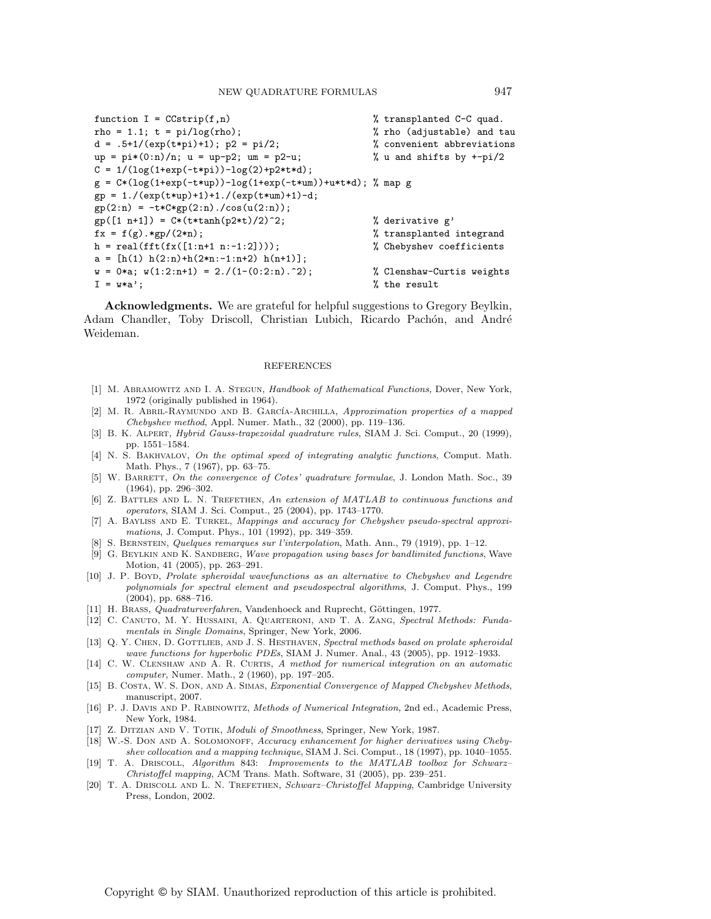```
function I = C(\text{strip}(f, n)) % transplanted C-C quad.
rho = 1.1; t = pi/log(rho); \hspace{1cm} % rho (adjustable) and tau
d = .5+1/(\exp(t*p_1)+1); p2 = pi/2; % convenient abbreviations
up = pi*(0:n)/n; u = up-p2; um = p2-u; \hspace{1cm} % u and shifts by +-pi/2
C = 1/(log(1+exp(-t*pi)) - log(2) + p2*td);g = C*(log(1+exp(-t*up))-log(1+exp(-t*um))+u*t*d); % map g
gp = 1./(exp(t*up)+1)+1./(exp(t*um)+1)-d;
gp(2:n) = -t*C*gp(2:n)./cos(u(2:n));
gp([1 n+1]) = C*(t*tanh(p2*t)/2)^2; % derivative g'
f x = f(g) . *gp / (2*n); % transplanted integrand
h = real(fft(f(x([1:n+1 n:-1:2])); % Chebyshev coefficients
a = [h(1) h(2:n)+h(2*n:-1:n+2) h(n+1)];w = 0 * a; w(1:2:n+1) = 2./(1-(0:2:n).^2); % Clenshaw-Curtis weights
I = w*a; % % % the result
```
**Acknowledgments.** We are grateful for helpful suggestions to Gregory Beylkin, Adam Chandler, Toby Driscoll, Christian Lubich, Ricardo Pachón, and André Weideman.

## REFERENCES

- [1] M. Abramowitz and I. A. Stegun, Handbook of Mathematical Functions, Dover, New York, 1972 (originally published in 1964).
- [2] M. R. ABRIL-RAYMUNDO AND B. GARCÍA-ARCHILLA, Approximation properties of a mapped Chebyshev method, Appl. Numer. Math., 32 (2000), pp. 119–136.
- [3] B. K. Alpert, Hybrid Gauss-trapezoidal quadrature rules, SIAM J. Sci. Comput., 20 (1999), pp. 1551–1584.
- [4] N. S. Bakhvalov, On the optimal speed of integrating analytic functions, Comput. Math. Math. Phys., 7 (1967), pp. 63–75.
- [5] W. BARRETT, On the convergence of Cotes' quadrature formulae, J. London Math. Soc., 39 (1964), pp. 296–302.
- [6] Z. BATTLES AND L. N. TREFETHEN, An extension of MATLAB to continuous functions and operators, SIAM J. Sci. Comput., 25 (2004), pp. 1743–1770.
- [7] A. Bayliss and E. Turkel, Mappings and accuracy for Chebyshev pseudo-spectral approximations, J. Comput. Phys., 101 (1992), pp. 349–359.
- [8] S. Bernstein, Quelques remarques sur l'interpolation, Math. Ann., 79 (1919), pp. 1–12.
- [9] G. BEYLKIN AND K. SANDBERG, Wave propagation using bases for bandlimited functions, Wave Motion, 41 (2005), pp. 263–291.
- [10] J. P. Boyd, Prolate spheroidal wavefunctions as an alternative to Chebyshev and Legendre polynomials for spectral element and pseudospectral algorithms, J. Comput. Phys., 199 (2004), pp. 688–716.
- [11] H. BRASS, *Quadraturverfahren*, Vandenhoeck and Ruprecht, Göttingen, 1977.
- [12] C. Canuto, M. Y. Hussaini, A. Quarteroni, and T. A. Zang, Spectral Methods: Fundamentals in Single Domains, Springer, New York, 2006.
- [13] Q. Y. CHEN, D. GOTTLIEB, AND J. S. HESTHAVEN, Spectral methods based on prolate spheroidal wave functions for hyperbolic PDEs, SIAM J. Numer. Anal., 43 (2005), pp. 1912–1933.
- [14] C. W. CLENSHAW AND A. R. CURTIS, A method for numerical integration on an automatic computer, Numer. Math., 2 (1960), pp. 197–205.
- [15] B. Costa, W. S. Don, and A. Simas, Exponential Convergence of Mapped Chebyshev Methods, manuscript, 2007.
- [16] P. J. Davis and P. Rabinowitz, Methods of Numerical Integration, 2nd ed., Academic Press, New York, 1984.
- [17] Z. DITZIAN AND V. TOTIK, *Moduli of Smoothness*, Springer, New York, 1987.
- [18] W.-S. DON AND A. SOLOMONOFF, Accuracy enhancement for higher derivatives using Chebyshev collocation and a mapping technique, SIAM J. Sci. Comput., 18 (1997), pp. 1040–1055.
- [19] T. A. Driscoll, Algorithm 843: Improvements to the MATLAB toolbox for Schwarz– Christoffel mapping, ACM Trans. Math. Software, 31 (2005), pp. 239–251.
- [20] T. A. DRISCOLL AND L. N. TREFETHEN, Schwarz–Christoffel Mapping, Cambridge University Press, London, 2002.